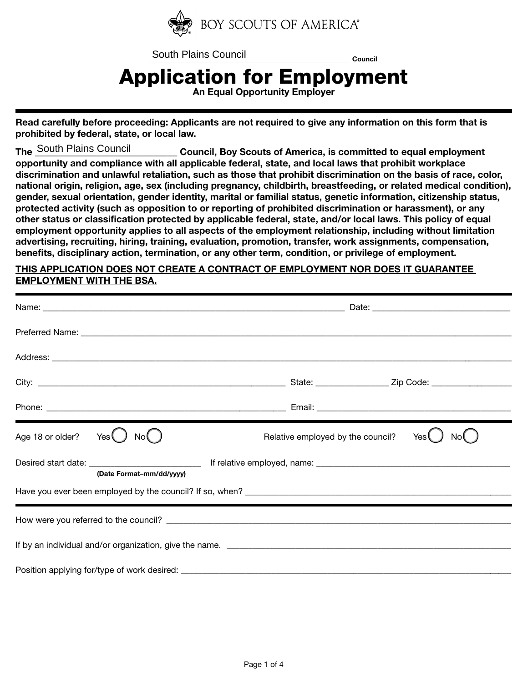

South Plains Council<br>
Council

## Application for Employment

An Equal Opportunity Employer

Read carefully before proceeding: Applicants are not required to give any information on this form that is prohibited by federal, state, or local law.

Council, Boy Scouts of America, is committed to equal employment opportunity and compliance with all applicable federal, state, and local laws that prohibit workplace discrimination and unlawful retaliation, such as those that prohibit discrimination on the basis of race, color, national origin, religion, age, sex (including pregnancy, childbirth, breastfeeding, or related medical condition), gender, sexual orientation, gender identity, marital or familial status, genetic information, citizenship status, protected activity (such as opposition to or reporting of prohibited discrimination or harassment), or any other status or classification protected by applicable federal, state, and/or local laws. This policy of equal employment opportunity applies to all aspects of the employment relationship, including without limitation advertising, recruiting, hiring, training, evaluation, promotion, transfer, work assignments, compensation, benefits, disciplinary action, termination, or any other term, condition, or privilege of employment. The South Plains Council

## THIS APPLICATION DOES NOT CREATE A CONTRACT OF EMPLOYMENT NOR DOES IT GUARANTEE EMPLOYMENT WITH THE BSA.

| Age 18 or older? Yes                                    | Relative employed by the council?<br>Yes |  |  |  |  |  |
|---------------------------------------------------------|------------------------------------------|--|--|--|--|--|
| (Date Format-mm/dd/yyyy)                                |                                          |  |  |  |  |  |
|                                                         |                                          |  |  |  |  |  |
|                                                         |                                          |  |  |  |  |  |
| If by an individual and/or organization, give the name. |                                          |  |  |  |  |  |
|                                                         |                                          |  |  |  |  |  |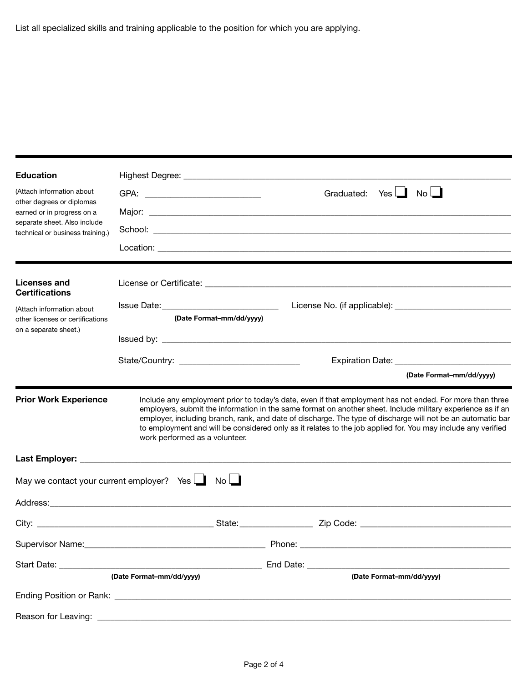| <b>Education</b>                                                 |                                                                                                                                                                                                                                |        |                                                                                                                                                                                                                                                                                                                                                                                                                                                        |  |  |
|------------------------------------------------------------------|--------------------------------------------------------------------------------------------------------------------------------------------------------------------------------------------------------------------------------|--------|--------------------------------------------------------------------------------------------------------------------------------------------------------------------------------------------------------------------------------------------------------------------------------------------------------------------------------------------------------------------------------------------------------------------------------------------------------|--|--|
| (Attach information about                                        |                                                                                                                                                                                                                                |        | Graduated: Yes<br>$No$ $\Box$                                                                                                                                                                                                                                                                                                                                                                                                                          |  |  |
| other degrees or diplomas<br>earned or in progress on a          |                                                                                                                                                                                                                                |        |                                                                                                                                                                                                                                                                                                                                                                                                                                                        |  |  |
| separate sheet. Also include<br>technical or business training.) |                                                                                                                                                                                                                                |        |                                                                                                                                                                                                                                                                                                                                                                                                                                                        |  |  |
|                                                                  |                                                                                                                                                                                                                                |        |                                                                                                                                                                                                                                                                                                                                                                                                                                                        |  |  |
|                                                                  |                                                                                                                                                                                                                                |        |                                                                                                                                                                                                                                                                                                                                                                                                                                                        |  |  |
| <b>Licenses and</b><br><b>Certifications</b>                     |                                                                                                                                                                                                                                |        |                                                                                                                                                                                                                                                                                                                                                                                                                                                        |  |  |
| (Attach information about                                        |                                                                                                                                                                                                                                |        |                                                                                                                                                                                                                                                                                                                                                                                                                                                        |  |  |
| other licenses or certifications<br>on a separate sheet.)        | (Date Format-mm/dd/yyyy)                                                                                                                                                                                                       |        |                                                                                                                                                                                                                                                                                                                                                                                                                                                        |  |  |
|                                                                  |                                                                                                                                                                                                                                |        |                                                                                                                                                                                                                                                                                                                                                                                                                                                        |  |  |
|                                                                  |                                                                                                                                                                                                                                |        |                                                                                                                                                                                                                                                                                                                                                                                                                                                        |  |  |
|                                                                  |                                                                                                                                                                                                                                |        | (Date Format-mm/dd/yyyy)                                                                                                                                                                                                                                                                                                                                                                                                                               |  |  |
| <b>Prior Work Experience</b>                                     | work performed as a volunteer.                                                                                                                                                                                                 |        | Include any employment prior to today's date, even if that employment has not ended. For more than three<br>employers, submit the information in the same format on another sheet. Include military experience as if an<br>employer, including branch, rank, and date of discharge. The type of discharge will not be an automatic bar<br>to employment and will be considered only as it relates to the job applied for. You may include any verified |  |  |
|                                                                  |                                                                                                                                                                                                                                |        |                                                                                                                                                                                                                                                                                                                                                                                                                                                        |  |  |
|                                                                  | May we contact your current employer? Yes $\Box$ No $\Box$                                                                                                                                                                     |        |                                                                                                                                                                                                                                                                                                                                                                                                                                                        |  |  |
|                                                                  |                                                                                                                                                                                                                                |        |                                                                                                                                                                                                                                                                                                                                                                                                                                                        |  |  |
|                                                                  |                                                                                                                                                                                                                                |        |                                                                                                                                                                                                                                                                                                                                                                                                                                                        |  |  |
| Supervisor Name:                                                 |                                                                                                                                                                                                                                | Phone: |                                                                                                                                                                                                                                                                                                                                                                                                                                                        |  |  |
|                                                                  | Start Date: the contract of the contract of the contract of the contract of the contract of the contract of the contract of the contract of the contract of the contract of the contract of the contract of the contract of th |        | End Date: The Sensor Sensor Sensor Sensor Sensor Sensor Sensor Sensor Sensor Sensor Sensor Sensor Sensor Sensor                                                                                                                                                                                                                                                                                                                                        |  |  |
|                                                                  | (Date Format-mm/dd/yyyy)                                                                                                                                                                                                       |        | (Date Format-mm/dd/yyyy)                                                                                                                                                                                                                                                                                                                                                                                                                               |  |  |
|                                                                  |                                                                                                                                                                                                                                |        |                                                                                                                                                                                                                                                                                                                                                                                                                                                        |  |  |
|                                                                  |                                                                                                                                                                                                                                |        |                                                                                                                                                                                                                                                                                                                                                                                                                                                        |  |  |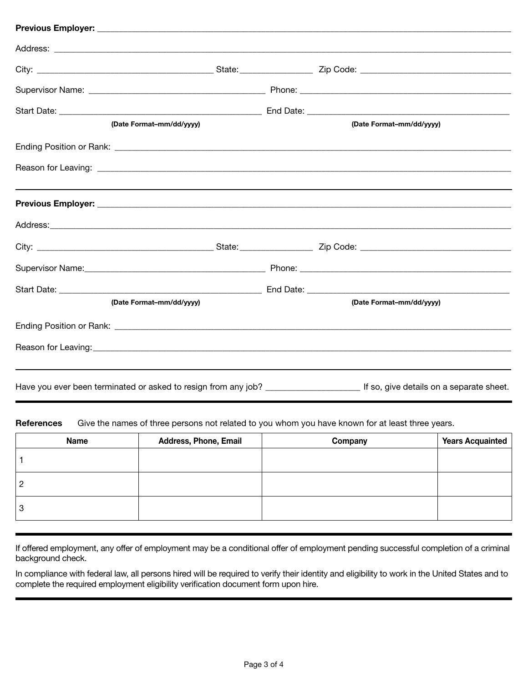| (Date Format-mm/dd/yyyy) | (Date Format-mm/dd/yyyy)                                                                                                              |
|--------------------------|---------------------------------------------------------------------------------------------------------------------------------------|
|                          |                                                                                                                                       |
|                          |                                                                                                                                       |
|                          |                                                                                                                                       |
|                          |                                                                                                                                       |
|                          |                                                                                                                                       |
|                          |                                                                                                                                       |
|                          |                                                                                                                                       |
| (Date Format-mm/dd/yyyy) | (Date Format-mm/dd/vyyy)                                                                                                              |
|                          |                                                                                                                                       |
|                          |                                                                                                                                       |
|                          |                                                                                                                                       |
|                          | Have you ever been terminated or asked to resign from any job? _____________________________ If so, give details on a separate sheet. |

References Give the names of three persons not related to you whom you have known for at least three years.

| <b>Name</b> | <b>Address, Phone, Email</b> | Company | <b>Years Acquainted</b> |
|-------------|------------------------------|---------|-------------------------|
|             |                              |         |                         |
|             |                              |         |                         |
| O           |                              |         |                         |

If offered employment, any offer of employment may be a conditional offer of employment pending successful completion of a criminal background check.

In compliance with federal law, all persons hired will be required to verify their identity and eligibility to work in the United States and to complete the required employment eligibility verification document form upon hire.